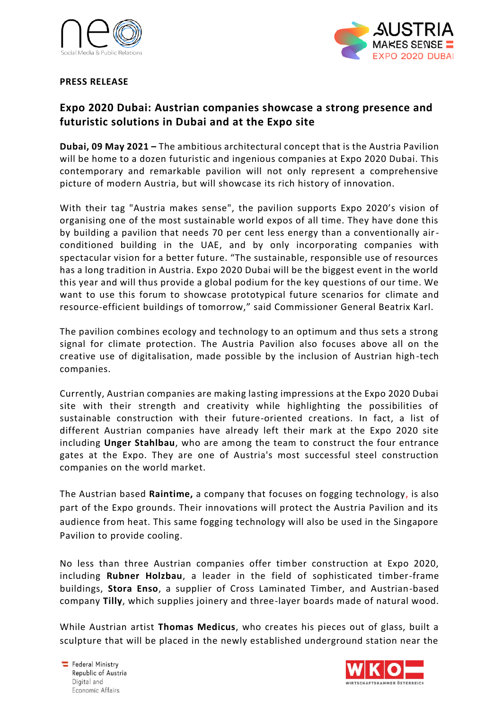



## **PRESS RELEASE**

## **Expo 2020 Dubai: Austrian companies showcase a strong presence and futuristic solutions in Dubai and at the Expo site**

**Dubai, 09 May 2021 –** The ambitious architectural concept that is the Austria Pavilion will be home to a dozen futuristic and ingenious companies at Expo 2020 Dubai. This contemporary and remarkable pavilion will not only represent a comprehensive picture of modern Austria, but will showcase its rich history of innovation.

With their tag "Austria makes sense", the pavilion supports Expo 2020's vision of organising one of the most sustainable world expos of all time. They have done this by building a pavilion that needs 70 per cent less energy than a conventionally airconditioned building in the UAE, and by only incorporating companies with spectacular vision for a better future. "The sustainable, responsible use of resources has a long tradition in Austria. Expo 2020 Dubai will be the biggest event in the world this year and will thus provide a global podium for the key questions of our time. We want to use this forum to showcase prototypical future scenarios for climate and resource-efficient buildings of tomorrow," said Commissioner General Beatrix Karl.

The pavilion combines ecology and technology to an optimum and thus sets a strong signal for climate protection. The Austria Pavilion also focuses above all on the creative use of digitalisation, made possible by the inclusion of Austrian high-tech companies.

Currently, Austrian companies are making lasting impressions at the Expo 2020 Dubai site with their strength and creativity while highlighting the possibilities of sustainable construction with their future-oriented creations. In fact, a list of different Austrian companies have already left their mark at the Expo 2020 site including **Unger Stahlbau**, who are among the team to construct the four entrance gates at the Expo. They are one of Austria's most successful steel construction companies on the world market.

The Austrian based **Raintime,** a company that focuses on fogging technology, is also part of the Expo grounds. Their innovations will protect the Austria Pavilion and its audience from heat. This same fogging technology will also be used in the Singapore Pavilion to provide cooling.

No less than three Austrian companies offer timber construction at Expo 2020, including **Rubner Holzbau**, a leader in the field of sophisticated timber-frame buildings, **Stora Enso**, a supplier of Cross Laminated Timber, and Austrian-based company **Tilly**, which supplies joinery and three-layer boards made of natural wood.

While Austrian artist **Thomas Medicus**, who creates his pieces out of glass, built a sculpture that will be placed in the newly established underground station near the